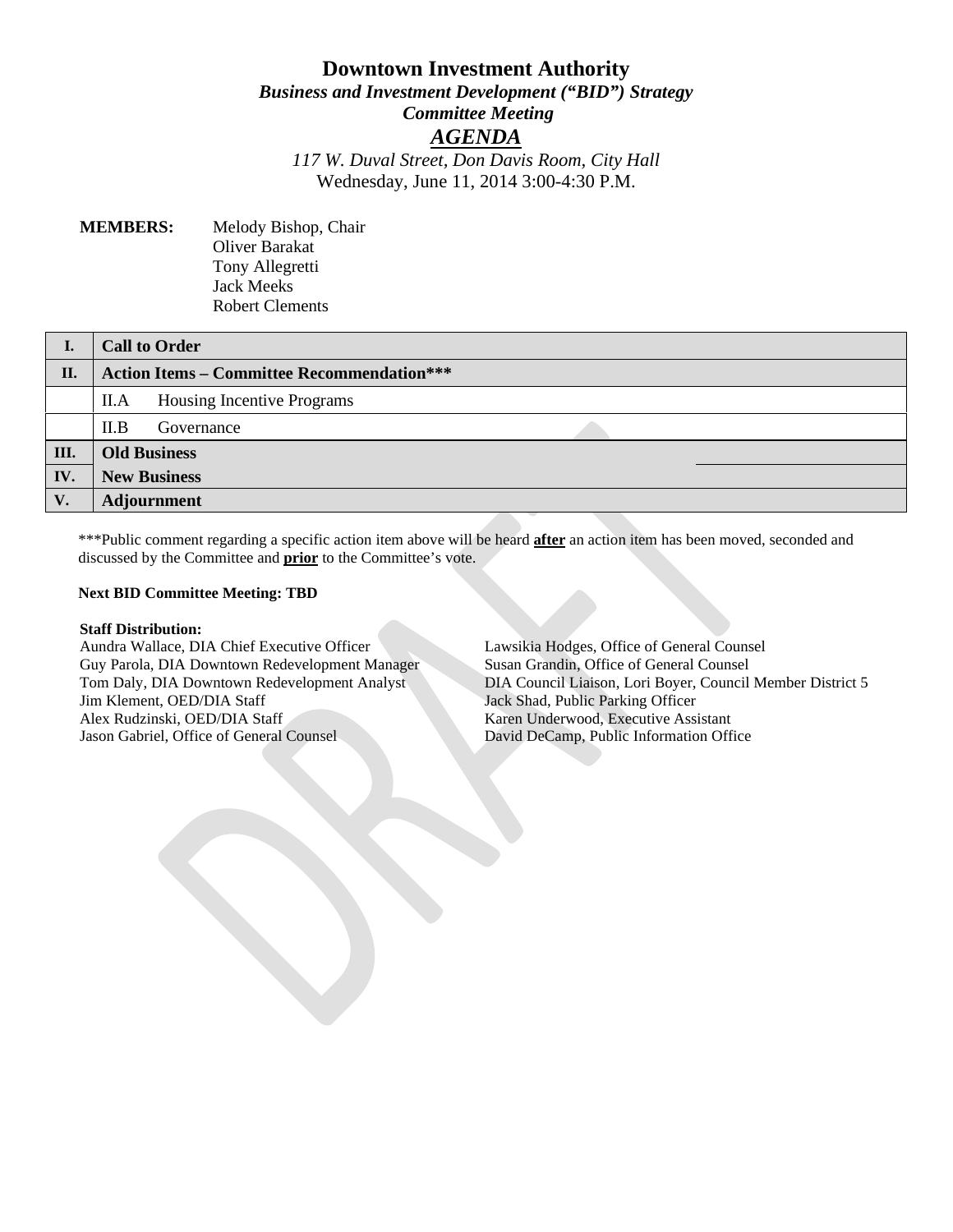# **Downtown Investment Authority** *Business and Investment Development ("BID") Strategy Committee Meeting AGENDA 117 W. Duval Street, Don Davis Room, City Hall* Wednesday, June 11, 2014 3:00-4:30 P.M.

## **MEMBERS:** Melody Bishop, Chair Oliver Barakat Tony Allegretti Jack Meeks Robert Clements

| I.   | <b>Call to Order</b>                              |
|------|---------------------------------------------------|
| II.  | <b>Action Items – Committee Recommendation***</b> |
|      | Housing Incentive Programs<br>II.A                |
|      | II.B<br>Governance                                |
| III. | <b>Old Business</b>                               |
| IV.  | <b>New Business</b>                               |
| V.   | <b>Adjournment</b>                                |

\*\*\*Public comment regarding a specific action item above will be heard **after** an action item has been moved, seconded and discussed by the Committee and **prior** to the Committee's vote.

### **Next BID Committee Meeting: TBD**

#### **Staff Distribution:**

Aundra Wallace, DIA Chief Executive Officer Guy Parola, DIA Downtown Redevelopment Manager Tom Daly, DIA Downtown Redevelopment Analyst Jim Klement, OED/DIA Staff Alex Rudzinski, OED/DIA Staff Jason Gabriel, Office of General Counsel

Lawsikia Hodges, Office of General Counsel Susan Grandin, Office of General Counsel DIA Council Liaison, Lori Boyer, Council Member District 5 Jack Shad, Public Parking Officer Karen Underwood, Executive Assistant David DeCamp, Public Information Office